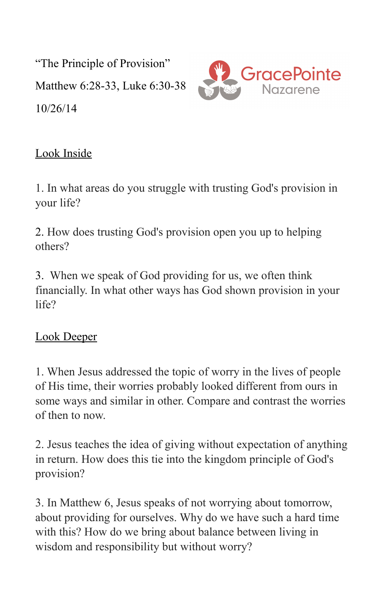"The Principle of Provision" Matthew 6:28-33, Luke 6:30-38 10/26/14



## Look Inside

1. In what areas do you struggle with trusting God's provision in your life?

2. How does trusting God's provision open you up to helping others?

3. When we speak of God providing for us, we often think financially. In what other ways has God shown provision in your life?

## Look Deeper

1. When Jesus addressed the topic of worry in the lives of people of His time, their worries probably looked different from ours in some ways and similar in other. Compare and contrast the worries of then to now.

2. Jesus teaches the idea of giving without expectation of anything in return. How does this tie into the kingdom principle of God's provision?

3. In Matthew 6, Jesus speaks of not worrying about tomorrow, about providing for ourselves. Why do we have such a hard time with this? How do we bring about balance between living in wisdom and responsibility but without worry?